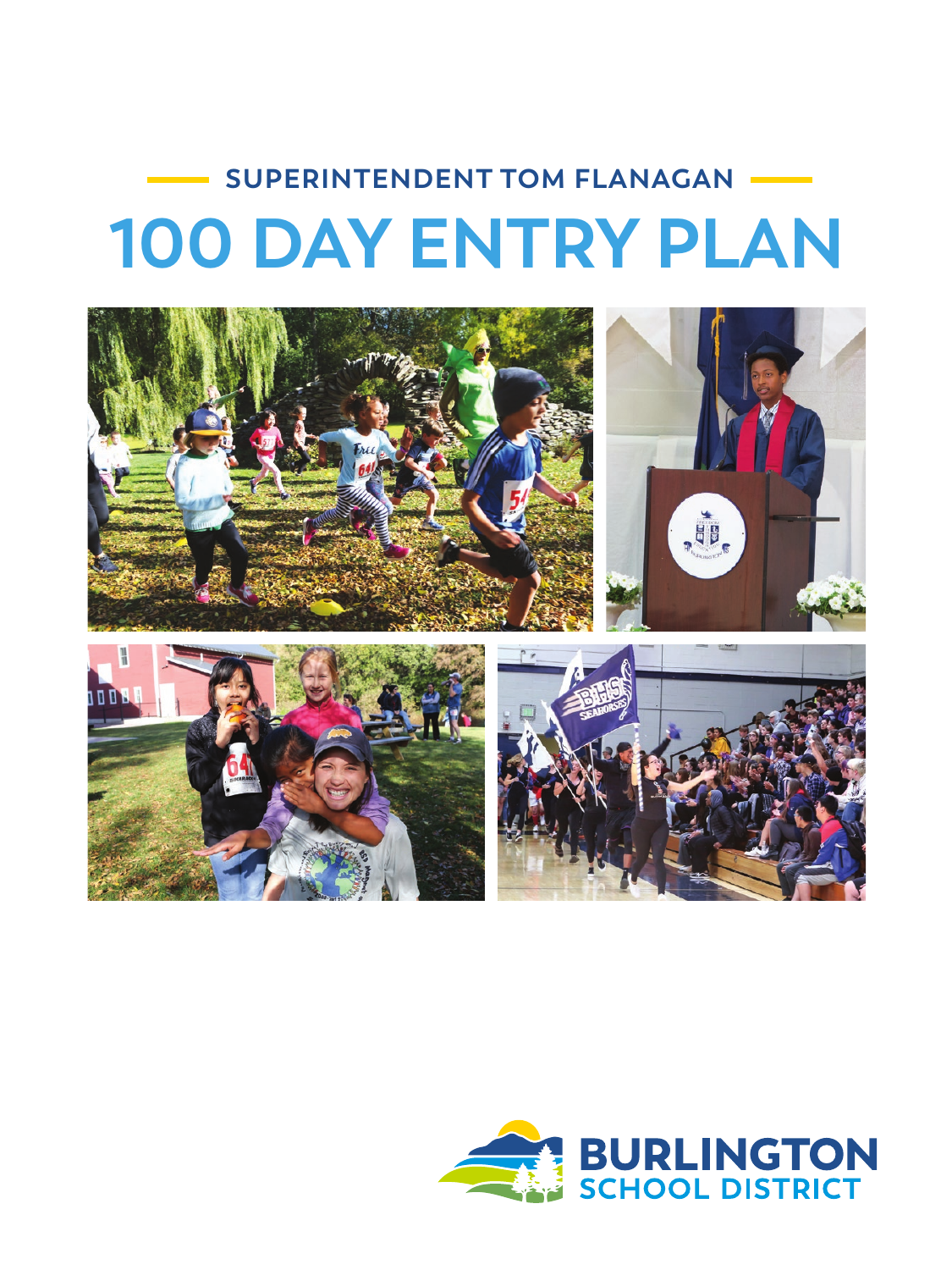# **SUPERINTENDENT TOM FLANAGAN 100 DAY ENTRY PLAN**



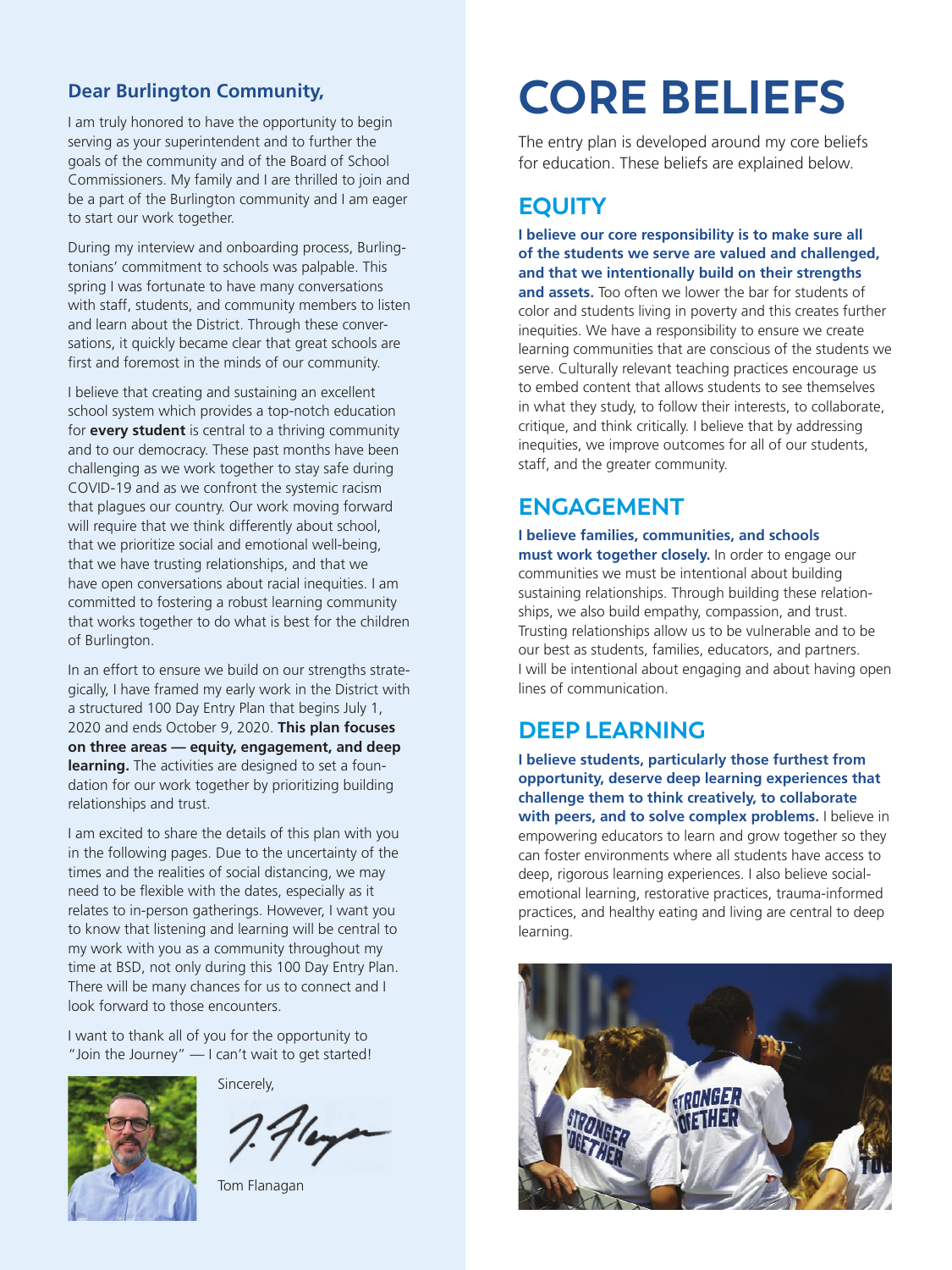#### **Dear Burlington Community,**

I am truly honored to have the opportunity to begin serving as your superintendent and to further the goals of the community and of the Board of School Commissioners. My family and I are thrilled to join and be a part of the Burlington community and I am eager to start our work together.

During my interview and onboarding process, Burlingtonians' commitment to schools was palpable. This spring I was fortunate to have many conversations with staff, students, and community members to listen and learn about the District. Through these conversations, it quickly became clear that great schools are first and foremost in the minds of our community.

I believe that creating and sustaining an excellent school system which provides a top-notch education for **every student** is central to a thriving community and to our democracy. These past months have been challenging as we work together to stay safe during COVID-19 and as we confront the systemic racism that plagues our country. Our work moving forward will require that we think differently about school, that we prioritize social and emotional well-being, that we have trusting relationships, and that we have open conversations about racial inequities. I am committed to fostering a robust learning community that works together to do what is best for the children of Burlington.

In an effort to ensure we build on our strengths strategically, I have framed my early work in the District with a structured 100 Day Entry Plan that begins July 1, 2020 and ends October 9, 2020. **This plan focuses on three areas — equity, engagement, and deep learning.** The activities are designed to set a foundation for our work together by prioritizing building relationships and trust.

I am excited to share the details of this plan with you in the following pages. Due to the uncertainty of the times and the realities of social distancing, we may need to be flexible with the dates, especially as it relates to in-person gatherings. However, I want you to know that listening and learning will be central to my work with you as a community throughout my time at BSD, not only during this 100 Day Entry Plan. There will be many chances for us to connect and I look forward to those encounters.

I want to thank all of you for the opportunity to "Join the Journey" — I can't wait to get started!

Sincerely,

Tom Flanagan

### **CORE BELIEFS**

The entry plan is developed around my core beliefs for education. These beliefs are explained below.

#### **EQUITY**

**I believe our core responsibility is to make sure all of the students we serve are valued and challenged, and that we intentionally build on their strengths** 

**and assets.** Too often we lower the bar for students of color and students living in poverty and this creates further inequities. We have a responsibility to ensure we create learning communities that are conscious of the students we serve. Culturally relevant teaching practices encourage us to embed content that allows students to see themselves in what they study, to follow their interests, to collaborate, critique, and think critically. I believe that by addressing inequities, we improve outcomes for all of our students, staff, and the greater community.

#### **ENGAGEMENT**

**I believe families, communities, and schools must work together closely.** In order to engage our communities we must be intentional about building sustaining relationships. Through building these relationships, we also build empathy, compassion, and trust. Trusting relationships allow us to be vulnerable and to be our best as students, families, educators, and partners. I will be intentional about engaging and about having open lines of communication.

#### **DEEP LEARNING**

**I believe students, particularly those furthest from opportunity, deserve deep learning experiences that challenge them to think creatively, to collaborate with peers, and to solve complex problems.** I believe in empowering educators to learn and grow together so they can foster environments where all students have access to deep, rigorous learning experiences. I also believe socialemotional learning, restorative practices, trauma-informed practices, and healthy eating and living are central to deep learning.

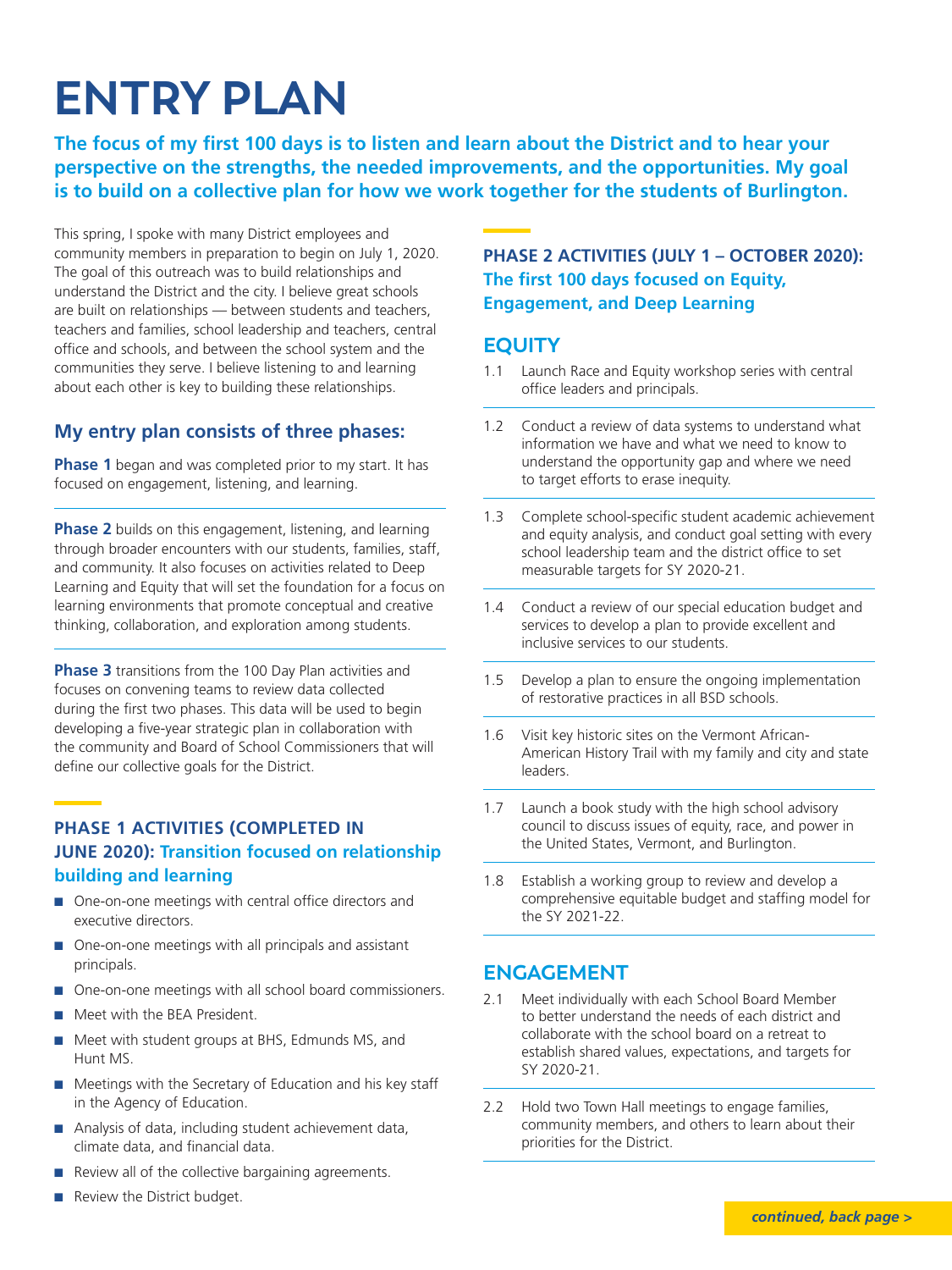## **ENTRY PLAN**

**The focus of my first 100 days is to listen and learn about the District and to hear your perspective on the strengths, the needed improvements, and the opportunities. My goal is to build on a collective plan for how we work together for the students of Burlington.** 

This spring, I spoke with many District employees and community members in preparation to begin on July 1, 2020. The goal of this outreach was to build relationships and understand the District and the city. I believe great schools are built on relationships — between students and teachers, teachers and families, school leadership and teachers, central office and schools, and between the school system and the communities they serve. I believe listening to and learning about each other is key to building these relationships.

#### **My entry plan consists of three phases:**

**Phase 1** began and was completed prior to my start. It has focused on engagement, listening, and learning.

**Phase 2** builds on this engagement, listening, and learning through broader encounters with our students, families, staff, and community. It also focuses on activities related to Deep Learning and Equity that will set the foundation for a focus on learning environments that promote conceptual and creative thinking, collaboration, and exploration among students.

**Phase 3** transitions from the 100 Day Plan activities and focuses on convening teams to review data collected during the first two phases. This data will be used to begin developing a five-year strategic plan in collaboration with the community and Board of School Commissioners that will define our collective goals for the District.

#### **PHASE 1 ACTIVITIES (COMPLETED IN JUNE 2020): Transition focused on relationship building and learning**

- $\Box$  One-on-one meetings with central office directors and executive directors.
- $\Box$  One-on-one meetings with all principals and assistant principals.
- One-on-one meetings with all school board commissioners.
- **n** Meet with the BEA President.
- Meet with student groups at BHS, Edmunds MS, and Hunt MS.
- $\blacksquare$  Meetings with the Secretary of Education and his key staff in the Agency of Education.
- Analysis of data, including student achievement data, climate data, and financial data.
- $\blacksquare$  Review all of the collective bargaining agreements.
- $\blacksquare$  Review the District budget.

#### **PHASE 2 ACTIVITIES (JULY 1 – OCTOBER 2020): The first 100 days focused on Equity, Engagement, and Deep Learning**

#### **EQUITY**

- 1.1 Launch Race and Equity workshop series with central office leaders and principals.
- 1.2 Conduct a review of data systems to understand what information we have and what we need to know to understand the opportunity gap and where we need to target efforts to erase inequity.
- 1.3 Complete school-specific student academic achievement and equity analysis, and conduct goal setting with every school leadership team and the district office to set measurable targets for SY 2020-21.
- 1.4 Conduct a review of our special education budget and services to develop a plan to provide excellent and inclusive services to our students.
- 1.5 Develop a plan to ensure the ongoing implementation of restorative practices in all BSD schools.
- 1.6 Visit key historic sites on the Vermont African-American History Trail with my family and city and state leaders.
- 1.7 Launch a book study with the high school advisory council to discuss issues of equity, race, and power in the United States, Vermont, and Burlington.
- 1.8 Establish a working group to review and develop a comprehensive equitable budget and staffing model for the SY 2021-22.

#### **ENGAGEMENT**

- 2.1 Meet individually with each School Board Member to better understand the needs of each district and collaborate with the school board on a retreat to establish shared values, expectations, and targets for SY 2020-21.
- 2.2 Hold two Town Hall meetings to engage families, community members, and others to learn about their priorities for the District.